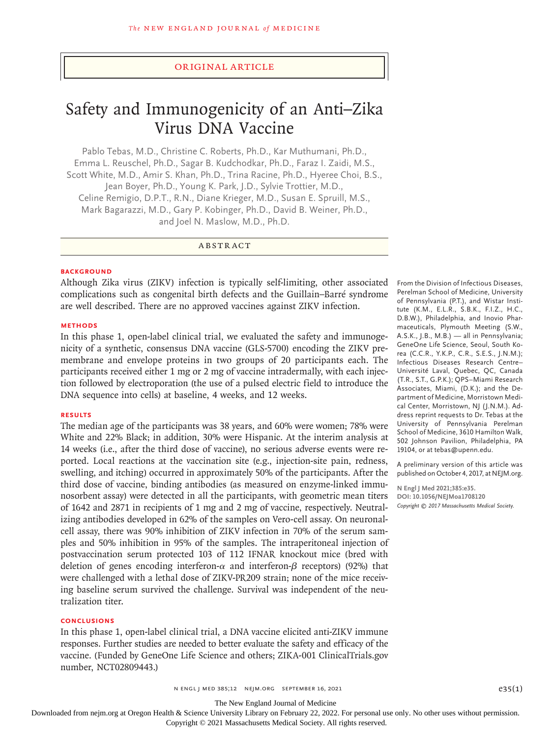#### Original Article

# Safety and Immunogenicity of an Anti–Zika Virus DNA Vaccine

Pablo Tebas, M.D., Christine C. Roberts, Ph.D., Kar Muthumani, Ph.D., Emma L. Reuschel, Ph.D., Sagar B. Kudchodkar, Ph.D., Faraz I. Zaidi, M.S., Scott White, M.D., Amir S. Khan, Ph.D., Trina Racine, Ph.D., Hyeree Choi, B.S., Jean Boyer, Ph.D., Young K. Park, J.D., Sylvie Trottier, M.D., Celine Remigio, D.P.T., R.N., Diane Krieger, M.D., Susan E. Spruill, M.S., Mark Bagarazzi, M.D., Gary P. Kobinger, Ph.D., David B. Weiner, Ph.D., and Joel N. Maslow, M.D., Ph.D.

ABSTRACT

#### **BACKGROUND**

Although Zika virus (ZIKV) infection is typically self-limiting, other associated complications such as congenital birth defects and the Guillain–Barré syndrome are well described. There are no approved vaccines against ZIKV infection.

#### **METHODS**

In this phase 1, open-label clinical trial, we evaluated the safety and immunogenicity of a synthetic, consensus DNA vaccine (GLS-5700) encoding the ZIKV premembrane and envelope proteins in two groups of 20 participants each. The participants received either 1 mg or 2 mg of vaccine intradermally, with each injection followed by electroporation (the use of a pulsed electric field to introduce the DNA sequence into cells) at baseline, 4 weeks, and 12 weeks.

#### **RESULTS**

The median age of the participants was 38 years, and 60% were women; 78% were White and 22% Black; in addition, 30% were Hispanic. At the interim analysis at 14 weeks (i.e., after the third dose of vaccine), no serious adverse events were reported. Local reactions at the vaccination site (e.g., injection-site pain, redness, swelling, and itching) occurred in approximately 50% of the participants. After the third dose of vaccine, binding antibodies (as measured on enzyme-linked immunosorbent assay) were detected in all the participants, with geometric mean titers of 1642 and 2871 in recipients of 1 mg and 2 mg of vaccine, respectively. Neutralizing antibodies developed in 62% of the samples on Vero-cell assay. On neuronalcell assay, there was 90% inhibition of ZIKV infection in 70% of the serum samples and 50% inhibition in 95% of the samples. The intraperitoneal injection of postvaccination serum protected 103 of 112 IFNAR knockout mice (bred with deletion of genes encoding interferon- $\alpha$  and interferon- $\beta$  receptors) (92%) that were challenged with a lethal dose of ZIKV-PR209 strain; none of the mice receiving baseline serum survived the challenge. Survival was independent of the neutralization titer.

#### **CONCLUSIONS**

In this phase 1, open-label clinical trial, a DNA vaccine elicited anti-ZIKV immune responses. Further studies are needed to better evaluate the safety and efficacy of the vaccine. (Funded by GeneOne Life Science and others; ZIKA-001 ClinicalTrials.gov number, NCT02809443.)

From the Division of Infectious Diseases, Perelman School of Medicine, University of Pennsylvania (P.T.), and Wistar Institute (K.M., E.L.R., S.B.K., F.I.Z., H.C., D.B.W.), Philadelphia, and Inovio Pharmaceuticals, Plymouth Meeting (S.W., A.S.K., J.B., M.B.) — all in Pennsylvania; GeneOne Life Science, Seoul, South Korea (C.C.R., Y.K.P., C.R., S.E.S., J.N.M.); Infectious Diseases Research Centre– Université Laval, Quebec, QC, Canada (T.R., S.T., G.P.K.); QPS–Miami Research Associates, Miami, (D.K.); and the Department of Medicine, Morristown Medical Center, Morristown, NJ (J.N.M.). Address reprint requests to Dr. Tebas at the University of Pennsylvania Perelman School of Medicine, 3610 Hamilton Walk, 502 Johnson Pavilion, Philadelphia, PA 19104, or at tebas@upenn.edu.

A preliminary version of this article was published on October 4, 2017, at NEJM.org.

**N Engl J Med 2021;385:e35. DOI: 10.1056/NEJMoa1708120** *Copyright © 2017 Massachusetts Medical Society.*

The New England Journal of Medicine

Downloaded from nejm.org at Oregon Health & Science University Library on February 22, 2022. For personal use only. No other uses without permission.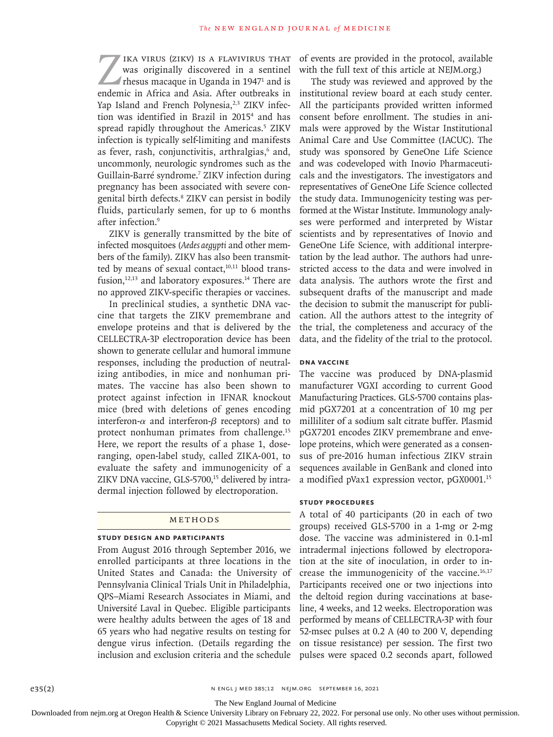IKA VIRUS (ZIKV) IS A FLAVIVIRUS THAT<br>was originally discovered in a sentinel<br>rhesus macaque in Uganda in 1947<sup>1</sup> and is<br>endemic in Africa and Asia. After outbreaks in was originally discovered in a sentinel rhesus macaque in Uganda in 1947<sup>1</sup> and is endemic in Africa and Asia. After outbreaks in Yap Island and French Polynesia,<sup>2,3</sup> ZIKV infection was identified in Brazil in 2015<sup>4</sup> and has spread rapidly throughout the Americas.<sup>5</sup> ZIKV infection is typically self-limiting and manifests as fever, rash, conjunctivitis, arthralgias,<sup>6</sup> and, uncommonly, neurologic syndromes such as the Guillain-Barré syndrome.7 ZIKV infection during pregnancy has been associated with severe congenital birth defects.8 ZIKV can persist in bodily fluids, particularly semen, for up to 6 months after infection.<sup>9</sup>

ZIKV is generally transmitted by the bite of infected mosquitoes (*Aedes aegypti* and other members of the family). ZIKV has also been transmitted by means of sexual contact, $10,11$  blood transfusion, $12,13$  and laboratory exposures.<sup>14</sup> There are no approved ZIKV-specific therapies or vaccines.

In preclinical studies, a synthetic DNA vaccine that targets the ZIKV premembrane and envelope proteins and that is delivered by the CELLECTRA-3P electroporation device has been shown to generate cellular and humoral immune responses, including the production of neutralizing antibodies, in mice and nonhuman primates. The vaccine has also been shown to protect against infection in IFNAR knockout mice (bred with deletions of genes encoding interferon-α and interferon-β receptors) and to protect nonhuman primates from challenge.<sup>15</sup> Here, we report the results of a phase 1, doseranging, open-label study, called ZIKA-001, to evaluate the safety and immunogenicity of a ZIKV DNA vaccine, GLS-5700,<sup>15</sup> delivered by intradermal injection followed by electroporation.

#### METHODS

#### **Study Design and Participants**

From August 2016 through September 2016, we enrolled participants at three locations in the United States and Canada: the University of Pennsylvania Clinical Trials Unit in Philadelphia, QPS–Miami Research Associates in Miami, and Université Laval in Quebec. Eligible participants were healthy adults between the ages of 18 and 65 years who had negative results on testing for dengue virus infection. (Details regarding the inclusion and exclusion criteria and the schedule

of events are provided in the protocol, available with the full text of this article at NEJM.org.)

The study was reviewed and approved by the institutional review board at each study center. All the participants provided written informed consent before enrollment. The studies in animals were approved by the Wistar Institutional Animal Care and Use Committee (IACUC). The study was sponsored by GeneOne Life Science and was codeveloped with Inovio Pharmaceuticals and the investigators. The investigators and representatives of GeneOne Life Science collected the study data. Immunogenicity testing was performed at the Wistar Institute. Immunology analyses were performed and interpreted by Wistar scientists and by representatives of Inovio and GeneOne Life Science, with additional interpretation by the lead author. The authors had unrestricted access to the data and were involved in data analysis. The authors wrote the first and subsequent drafts of the manuscript and made the decision to submit the manuscript for publication. All the authors attest to the integrity of the trial, the completeness and accuracy of the data, and the fidelity of the trial to the protocol.

# **DNA Vaccine**

The vaccine was produced by DNA-plasmid manufacturer VGXI according to current Good Manufacturing Practices. GLS-5700 contains plasmid pGX7201 at a concentration of 10 mg per milliliter of a sodium salt citrate buffer. Plasmid pGX7201 encodes ZIKV premembrane and envelope proteins, which were generated as a consensus of pre-2016 human infectious ZIKV strain sequences available in GenBank and cloned into a modified pVax1 expression vector, pGX0001.15

#### **Study Procedures**

A total of 40 participants (20 in each of two groups) received GLS-5700 in a 1-mg or 2-mg dose. The vaccine was administered in 0.1-ml intradermal injections followed by electroporation at the site of inoculation, in order to increase the immunogenicity of the vaccine.<sup>16,17</sup> Participants received one or two injections into the deltoid region during vaccinations at baseline, 4 weeks, and 12 weeks. Electroporation was performed by means of CELLECTRA-3P with four 52-msec pulses at 0.2 A (40 to 200 V, depending on tissue resistance) per session. The first two pulses were spaced 0.2 seconds apart, followed

e35(2) NENGL J MED 385;12 NEJM.ORG SEPTEMBER 16, 2021

The New England Journal of Medicine

Downloaded from nejm.org at Oregon Health & Science University Library on February 22, 2022. For personal use only. No other uses without permission.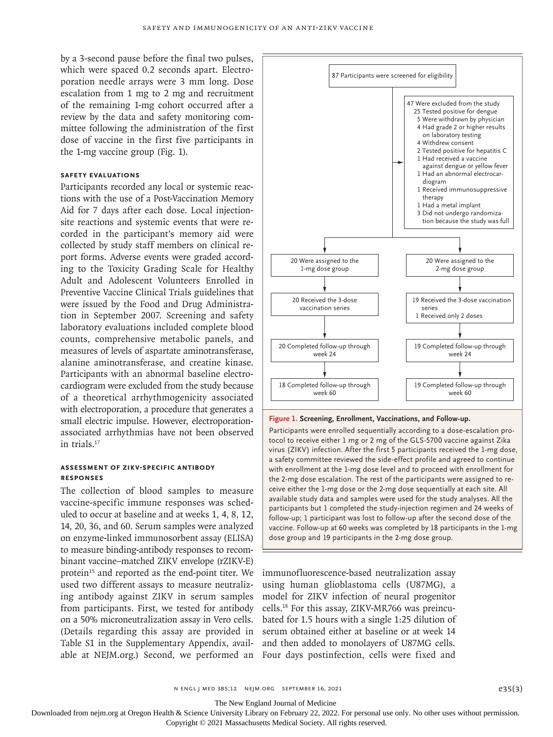by a 3-second pause before the final two pulses, which were spaced 0.2 seconds apart. Electroporation needle arrays were 3 mm long. Dose escalation from 1 mg to 2 mg and recruitment of the remaining 1-mg cohort occurred after a review by the data and safety monitoring committee following the administration of the first dose of vaccine in the first five participants in the 1-mg vaccine group (Fig. 1).

#### **Safety Evaluations**

Participants recorded any local or systemic reactions with the use of a Post-Vaccination Memory Aid for 7 days after each dose. Local injectionsite reactions and systemic events that were recorded in the participant's memory aid were collected by study staff members on clinical report forms. Adverse events were graded according to the Toxicity Grading Scale for Healthy Adult and Adolescent Volunteers Enrolled in Preventive Vaccine Clinical Trials guidelines that were issued by the Food and Drug Administration in September 2007. Screening and safety laboratory evaluations included complete blood counts, comprehensive metabolic panels, and measures of levels of aspartate aminotransferase, alanine aminotransferase, and creatine kinase. Participants with an abnormal baseline electrocardiogram were excluded from the study because of a theoretical arrhythmogenicity associated with electroporation, a procedure that generates a small electric impulse. However, electroporationassociated arrhythmias have not been observed in trials.<sup>17</sup>

#### **Assessment of ZIKV-Specific Antibody Responses**

The collection of blood samples to measure vaccine-specific immune responses was scheduled to occur at baseline and at weeks 1, 4, 8, 12, 14, 20, 36, and 60. Serum samples were analyzed on enzyme-linked immunosorbent assay (ELISA) to measure binding-antibody responses to recombinant vaccine–matched ZIKV envelope (rZIKV-E) protein<sup>15</sup> and reported as the end-point titer. We used two different assays to measure neutralizing antibody against ZIKV in serum samples from participants. First, we tested for antibody on a 50% microneutralization assay in Vero cells. (Details regarding this assay are provided in Table S1 in the Supplementary Appendix, available at NEJM.org.) Second, we performed an



**Figure 1. Screening, Enrollment, Vaccinations, and Follow-up.**

Participants were enrolled sequentially according to a dose-escalation protocol to receive either 1 mg or 2 mg of the GLS-5700 vaccine against Zika virus (ZIKV) infection. After the first 5 participants received the 1-mg dose, a safety committee reviewed the side-effect profile and agreed to continue with enrollment at the 1-mg dose level and to proceed with enrollment for the 2-mg dose escalation. The rest of the participants were assigned to receive either the 1-mg dose or the 2-mg dose sequentially at each site. All available study data and samples were used for the study analyses. All the participants but 1 completed the study-injection regimen and 24 weeks of follow-up; 1 participant was lost to follow-up after the second dose of the vaccine. Follow-up at 60 weeks was completed by 18 participants in the 1-mg dose group and 19 participants in the 2-mg dose group.

immunofluorescence-based neutralization assay using human glioblastoma cells (U87MG), a model for ZIKV infection of neural progenitor cells.18 For this assay, ZIKV-MR766 was preincubated for 1.5 hours with a single 1:25 dilution of serum obtained either at baseline or at week 14 and then added to monolayers of U87MG cells. Four days postinfection, cells were fixed and

The New England Journal of Medicine

Downloaded from nejm.org at Oregon Health & Science University Library on February 22, 2022. For personal use only. No other uses without permission.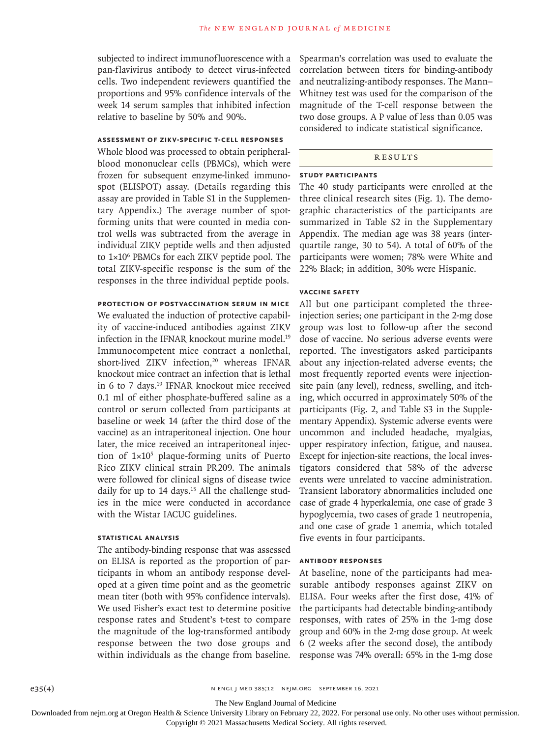subjected to indirect immunofluorescence with a pan-flavivirus antibody to detect virus-infected cells. Two independent reviewers quantified the proportions and 95% confidence intervals of the week 14 serum samples that inhibited infection relative to baseline by 50% and 90%.

## **Assessment of ZIKV-Specific T-Cell Responses**

Whole blood was processed to obtain peripheralblood mononuclear cells (PBMCs), which were frozen for subsequent enzyme-linked immunospot (ELISPOT) assay. (Details regarding this assay are provided in Table S1 in the Supplementary Appendix.) The average number of spotforming units that were counted in media control wells was subtracted from the average in individual ZIKV peptide wells and then adjusted to 1×106 PBMCs for each ZIKV peptide pool. The total ZIKV-specific response is the sum of the responses in the three individual peptide pools.

#### **Protection of Postvaccination Serum in Mice**

We evaluated the induction of protective capability of vaccine-induced antibodies against ZIKV infection in the IFNAR knockout murine model.<sup>19</sup> Immunocompetent mice contract a nonlethal, short-lived ZIKV infection,<sup>20</sup> whereas IFNAR knockout mice contract an infection that is lethal in 6 to 7 days.<sup>19</sup> IFNAR knockout mice received 0.1 ml of either phosphate-buffered saline as a control or serum collected from participants at baseline or week 14 (after the third dose of the vaccine) as an intraperitoneal injection. One hour later, the mice received an intraperitoneal injection of  $1 \times 10^5$  plaque-forming units of Puerto Rico ZIKV clinical strain PR209. The animals were followed for clinical signs of disease twice daily for up to 14 days.<sup>15</sup> All the challenge studies in the mice were conducted in accordance with the Wistar IACUC guidelines.

## **Statistical Analysis**

The antibody-binding response that was assessed on ELISA is reported as the proportion of participants in whom an antibody response developed at a given time point and as the geometric mean titer (both with 95% confidence intervals). We used Fisher's exact test to determine positive response rates and Student's t-test to compare the magnitude of the log-transformed antibody response between the two dose groups and within individuals as the change from baseline. Spearman's correlation was used to evaluate the correlation between titers for binding-antibody and neutralizing-antibody responses. The Mann– Whitney test was used for the comparison of the magnitude of the T-cell response between the two dose groups. A P value of less than 0.05 was considered to indicate statistical significance.

# Results

#### **Study Participants**

The 40 study participants were enrolled at the three clinical research sites (Fig. 1). The demographic characteristics of the participants are summarized in Table S2 in the Supplementary Appendix. The median age was 38 years (interquartile range, 30 to 54). A total of 60% of the participants were women; 78% were White and 22% Black; in addition, 30% were Hispanic.

#### **Vaccine Safety**

All but one participant completed the threeinjection series; one participant in the 2-mg dose group was lost to follow-up after the second dose of vaccine. No serious adverse events were reported. The investigators asked participants about any injection-related adverse events; the most frequently reported events were injectionsite pain (any level), redness, swelling, and itching, which occurred in approximately 50% of the participants (Fig. 2, and Table S3 in the Supplementary Appendix). Systemic adverse events were uncommon and included headache, myalgias, upper respiratory infection, fatigue, and nausea. Except for injection-site reactions, the local investigators considered that 58% of the adverse events were unrelated to vaccine administration. Transient laboratory abnormalities included one case of grade 4 hyperkalemia, one case of grade 3 hypoglycemia, two cases of grade 1 neutropenia, and one case of grade 1 anemia, which totaled five events in four participants.

## **Antibody Responses**

At baseline, none of the participants had measurable antibody responses against ZIKV on ELISA. Four weeks after the first dose, 41% of the participants had detectable binding-antibody responses, with rates of 25% in the 1-mg dose group and 60% in the 2-mg dose group. At week 6 (2 weeks after the second dose), the antibody response was 74% overall: 65% in the 1-mg dose

The New England Journal of Medicine

Downloaded from nejm.org at Oregon Health & Science University Library on February 22, 2022. For personal use only. No other uses without permission.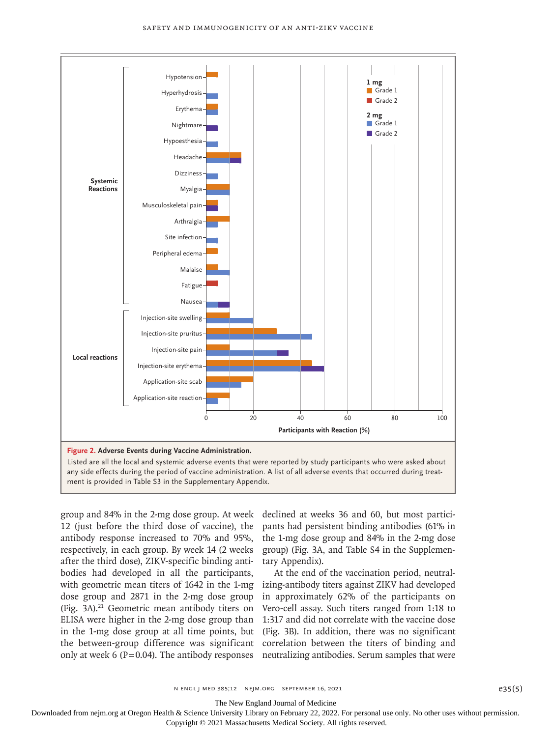

group and 84% in the 2-mg dose group. At week 12 (just before the third dose of vaccine), the antibody response increased to 70% and 95%, respectively, in each group. By week 14 (2 weeks after the third dose), ZIKV-specific binding antibodies had developed in all the participants, with geometric mean titers of 1642 in the 1-mg izing-antibody titers against ZIKV had developed dose group and 2871 in the 2-mg dose group (Fig. 3A).21 Geometric mean antibody titers on ELISA were higher in the 2-mg dose group than 1:317 and did not correlate with the vaccine dose in the 1-mg dose group at all time points, but (Fig. 3B). In addition, there was no significant the between-group difference was significant correlation between the titers of binding and only at week 6 (P=0.04). The antibody responses neutralizing antibodies. Serum samples that were

declined at weeks 36 and 60, but most participants had persistent binding antibodies (61% in the 1-mg dose group and 84% in the 2-mg dose group) (Fig. 3A, and Table S4 in the Supplementary Appendix).

At the end of the vaccination period, neutralin approximately 62% of the participants on Vero-cell assay. Such titers ranged from 1:18 to

The New England Journal of Medicine

Downloaded from nejm.org at Oregon Health & Science University Library on February 22, 2022. For personal use only. No other uses without permission.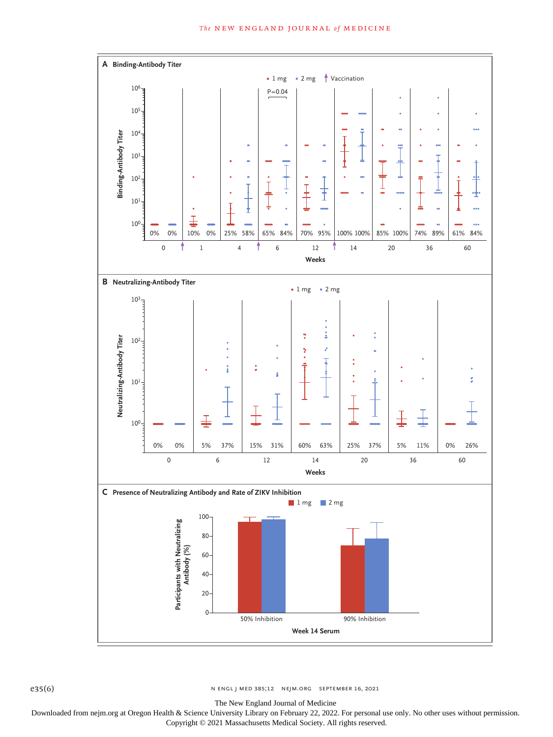

e35(6) n engl j med 385;12 nejm.org september 16, 2021

The New England Journal of Medicine

Downloaded from nejm.org at Oregon Health & Science University Library on February 22, 2022. For personal use only. No other uses without permission. Copyright © 2021 Massachusetts Medical Society. All rights reserved.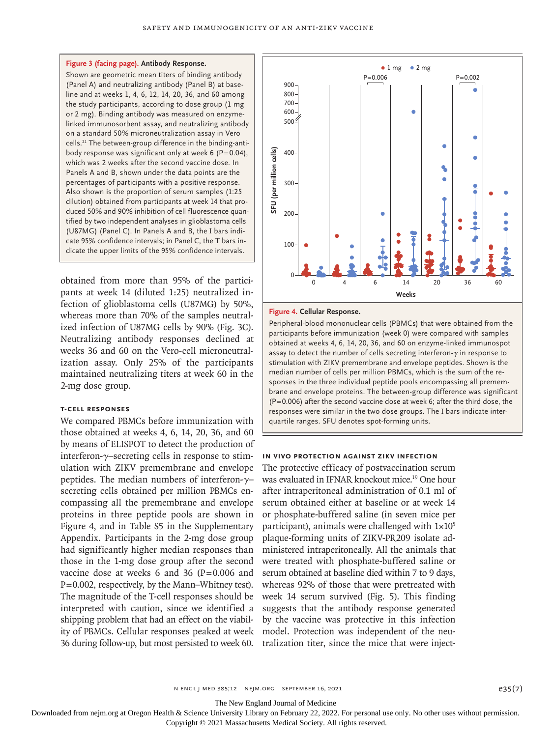#### **Figure 3 (facing page). Antibody Response.**

Shown are geometric mean titers of binding antibody (Panel A) and neutralizing antibody (Panel B) at baseline and at weeks 1, 4, 6, 12, 14, 20, 36, and 60 among the study participants, according to dose group (1 mg or 2 mg). Binding antibody was measured on enzymelinked immunosorbent assay, and neutralizing antibody on a standard 50% microneutralization assay in Vero cells.21 The between-group difference in the binding-antibody response was significant only at week 6 ( $P=0.04$ ), which was 2 weeks after the second vaccine dose. In Panels A and B, shown under the data points are the percentages of participants with a positive response. Also shown is the proportion of serum samples (1:25 dilution) obtained from participants at week 14 that produced 50% and 90% inhibition of cell fluorescence quantified by two independent analyses in glioblastoma cells (U87MG) (Panel C). In Panels A and B, the I bars indicate 95% confidence intervals; in Panel C, the T bars indicate the upper limits of the 95% confidence intervals.

obtained from more than 95% of the participants at week 14 (diluted 1:25) neutralized infection of glioblastoma cells (U87MG) by 50%, whereas more than 70% of the samples neutralized infection of U87MG cells by 90% (Fig. 3C). Neutralizing antibody responses declined at weeks 36 and 60 on the Vero-cell microneutralization assay. Only 25% of the participants maintained neutralizing titers at week 60 in the 2-mg dose group.

# **T-Cell Responses**

We compared PBMCs before immunization with those obtained at weeks 4, 6, 14, 20, 36, and 60 by means of ELISPOT to detect the production of interferon-γ–secreting cells in response to stimulation with ZIKV premembrane and envelope peptides. The median numbers of interferon- $\gamma$ – secreting cells obtained per million PBMCs encompassing all the premembrane and envelope proteins in three peptide pools are shown in Figure 4, and in Table S5 in the Supplementary Appendix. Participants in the 2-mg dose group had significantly higher median responses than those in the 1-mg dose group after the second vaccine dose at weeks 6 and 36  $(P=0.006$  and  $P=0.002$ , respectively, by the Mann–Whitney test). The magnitude of the T-cell responses should be interpreted with caution, since we identified a shipping problem that had an effect on the viability of PBMCs. Cellular responses peaked at week 36 during follow-up, but most persisted to week 60.



#### **Figure 4. Cellular Response.**

Peripheral-blood mononuclear cells (PBMCs) that were obtained from the participants before immunization (week 0) were compared with samples obtained at weeks 4, 6, 14, 20, 36, and 60 on enzyme-linked immunospot assay to detect the number of cells secreting interferon-γ in response to stimulation with ZIKV premembrane and envelope peptides. Shown is the median number of cells per million PBMCs, which is the sum of the responses in the three individual peptide pools encompassing all premembrane and envelope proteins. The between-group difference was significant (P=0.006) after the second vaccine dose at week 6; after the third dose, the responses were similar in the two dose groups. The I bars indicate inter-

#### **In Vivo Protection against ZIKV Infection**

The protective efficacy of postvaccination serum was evaluated in IFNAR knockout mice.19 One hour after intraperitoneal administration of 0.1 ml of serum obtained either at baseline or at week 14 or phosphate-buffered saline (in seven mice per participant), animals were challenged with  $1\times10^{5}$ plaque-forming units of ZIKV-PR209 isolate administered intraperitoneally. All the animals that were treated with phosphate-buffered saline or serum obtained at baseline died within 7 to 9 days, whereas 92% of those that were pretreated with week 14 serum survived (Fig. 5). This finding suggests that the antibody response generated by the vaccine was protective in this infection model. Protection was independent of the neutralization titer, since the mice that were inject-

The New England Journal of Medicine

Downloaded from nejm.org at Oregon Health & Science University Library on February 22, 2022. For personal use only. No other uses without permission.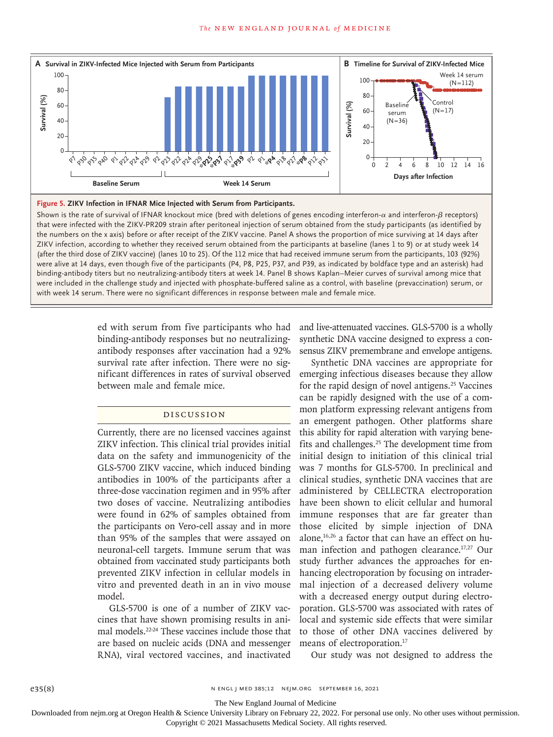

**Figure 5. ZIKV Infection in IFNAR Mice Injected with Serum from Participants.**

Shown is the rate of survival of IFNAR knockout mice (bred with deletions of genes encoding interferon- $α$  and interferon-β receptors) that were infected with the ZIKV-PR209 strain after peritoneal injection of serum obtained from the study participants (as identified by the numbers on the x axis) before or after receipt of the ZIKV vaccine. Panel A shows the proportion of mice surviving at 14 days after ZIKV infection, according to whether they received serum obtained from the participants at baseline (lanes 1 to 9) or at study week 14 (after the third dose of ZIKV vaccine) (lanes 10 to 25). Of the 112 mice that had received immune serum from the participants, 103 (92%) were alive at 14 days, even though five of the participants (P4, P8, P25, P37, and P39, as indicated by boldface type and an asterisk) had binding-antibody titers but no neutralizing-antibody titers at week 14. Panel B shows Kaplan–Meier curves of survival among mice that were included in the challenge study and injected with phosphate-buffered saline as a control, with baseline (prevaccination) serum, or

> ed with serum from five participants who had binding-antibody responses but no neutralizingantibody responses after vaccination had a 92% survival rate after infection. There were no significant differences in rates of survival observed between male and female mice.

# Discussion

Currently, there are no licensed vaccines against ZIKV infection. This clinical trial provides initial data on the safety and immunogenicity of the GLS-5700 ZIKV vaccine, which induced binding antibodies in 100% of the participants after a three-dose vaccination regimen and in 95% after two doses of vaccine. Neutralizing antibodies were found in 62% of samples obtained from the participants on Vero-cell assay and in more than 95% of the samples that were assayed on neuronal-cell targets. Immune serum that was obtained from vaccinated study participants both prevented ZIKV infection in cellular models in vitro and prevented death in an in vivo mouse model.

GLS-5700 is one of a number of ZIKV vaccines that have shown promising results in animal models.22-24 These vaccines include those that are based on nucleic acids (DNA and messenger RNA), viral vectored vaccines, and inactivated

and live-attenuated vaccines. GLS-5700 is a wholly synthetic DNA vaccine designed to express a consensus ZIKV premembrane and envelope antigens.

Synthetic DNA vaccines are appropriate for emerging infectious diseases because they allow for the rapid design of novel antigens.<sup>25</sup> Vaccines can be rapidly designed with the use of a common platform expressing relevant antigens from an emergent pathogen. Other platforms share this ability for rapid alteration with varying benefits and challenges.25 The development time from initial design to initiation of this clinical trial was 7 months for GLS-5700. In preclinical and clinical studies, synthetic DNA vaccines that are administered by CELLECTRA electroporation have been shown to elicit cellular and humoral immune responses that are far greater than those elicited by simple injection of DNA alone,<sup>16,26</sup> a factor that can have an effect on human infection and pathogen clearance.<sup>17,27</sup> Our study further advances the approaches for enhancing electroporation by focusing on intradermal injection of a decreased delivery volume with a decreased energy output during electroporation. GLS-5700 was associated with rates of local and systemic side effects that were similar to those of other DNA vaccines delivered by means of electroporation.<sup>17</sup>

Our study was not designed to address the

The New England Journal of Medicine

Downloaded from nejm.org at Oregon Health & Science University Library on February 22, 2022. For personal use only. No other uses without permission.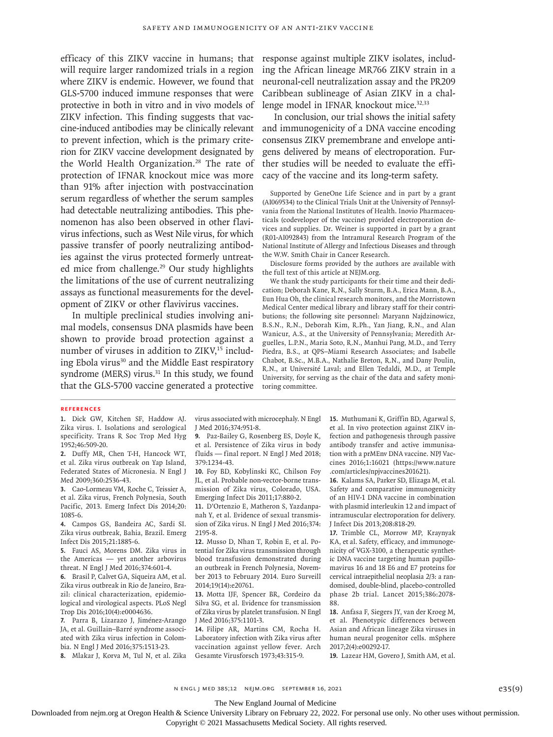efficacy of this ZIKV vaccine in humans; that will require larger randomized trials in a region where ZIKV is endemic. However, we found that GLS-5700 induced immune responses that were protective in both in vitro and in vivo models of ZIKV infection. This finding suggests that vaccine-induced antibodies may be clinically relevant to prevent infection, which is the primary criterion for ZIKV vaccine development designated by the World Health Organization.<sup>28</sup> The rate of protection of IFNAR knockout mice was more than 91% after injection with postvaccination serum regardless of whether the serum samples had detectable neutralizing antibodies. This phenomenon has also been observed in other flavivirus infections, such as West Nile virus, for which passive transfer of poorly neutralizing antibodies against the virus protected formerly untreated mice from challenge.<sup>29</sup> Our study highlights the limitations of the use of current neutralizing assays as functional measurements for the development of ZIKV or other flavivirus vaccines.

In multiple preclinical studies involving animal models, consensus DNA plasmids have been shown to provide broad protection against a number of viruses in addition to  $ZIKV<sub>15</sub>$  including Ebola virus<sup>30</sup> and the Middle East respiratory syndrome (MERS) virus.<sup>31</sup> In this study, we found that the GLS-5700 vaccine generated a protective

response against multiple ZIKV isolates, including the African lineage MR766 ZIKV strain in a neuronal-cell neutralization assay and the PR209 Caribbean sublineage of Asian ZIKV in a challenge model in IFNAR knockout mice.<sup>32,33</sup>

In conclusion, our trial shows the initial safety and immunogenicity of a DNA vaccine encoding consensus ZIKV premembrane and envelope antigens delivered by means of electroporation. Further studies will be needed to evaluate the efficacy of the vaccine and its long-term safety.

Supported by GeneOne Life Science and in part by a grant (AI069534) to the Clinical Trials Unit at the University of Pennsylvania from the National Institutes of Health. Inovio Pharmaceuticals (codeveloper of the vaccine) provided electroporation devices and supplies. Dr. Weiner is supported in part by a grant (R01-AI092843) from the Intramural Research Program of the National Institute of Allergy and Infectious Diseases and through the W.W. Smith Chair in Cancer Research.

Disclosure forms provided by the authors are available with the full text of this article at NEJM.org.

We thank the study participants for their time and their dedication; Deborah Kane, R.N., Sally Sturm, B.A., Erica Mann, B.A., Eun Hua Oh, the clinical research monitors, and the Morristown Medical Center medical library and library staff for their contributions; the following site personnel: Maryann Najdzinowicz, B.S.N., R.N., Deborah Kim, R.Ph., Yan Jiang, R.N., and Alan Wanicur, A.S., at the University of Pennsylvania; Meredith Arguelles, L.P.N., Maria Soto, R.N., Manhui Pang, M.D., and Terry Piedra, B.S., at QPS–Miami Research Associates; and Isabelle Chabot, B.Sc., M.B.A., Nathalie Breton, R.N., and Dany Poulin, R.N., at Université Laval; and Ellen Tedaldi, M.D., at Temple University, for serving as the chair of the data and safety monitoring committee.

#### **References**

**1.** Dick GW, Kitchen SF, Haddow AJ. Zika virus. I. Isolations and serological specificity. Trans R Soc Trop Med Hyg 1952;46:509-20.

**2.** Duffy MR, Chen T-H, Hancock WT, et al. Zika virus outbreak on Yap Island, Federated States of Micronesia. N Engl J Med 2009;360:2536-43.

**3.** Cao-Lormeau VM, Roche C, Teissier A, et al. Zika virus, French Polynesia, South Pacific, 2013. Emerg Infect Dis 2014;20: 1085-6.

**4.** Campos GS, Bandeira AC, Sardi SI. Zika virus outbreak, Bahia, Brazil. Emerg Infect Dis 2015;21:1885-6.

**5.** Fauci AS, Morens DM. Zika virus in the Americas — yet another arbovirus threat. N Engl J Med 2016;374:601-4.

**6.** Brasil P, Calvet GA, Siqueira AM, et al. Zika virus outbreak in Rio de Janeiro, Brazil: clinical characterization, epidemiological and virological aspects. PLoS Negl Trop Dis 2016;10(4):e0004636.

**7.** Parra B, Lizarazo J, Jiménez-Arango JA, et al. Guillain–Barré syndrome associated with Zika virus infection in Colombia. N Engl J Med 2016;375:1513-23.

**8.** Mlakar J, Korva M, Tul N, et al. Zika

virus associated with microcephaly. N Engl J Med 2016;374:951-8.

**9.** Paz-Bailey G, Rosenberg ES, Doyle K, et al. Persistence of Zika virus in body fluids — final report. N Engl J Med 2018; 379:1234-43.

**10.** Foy BD, Kobylinski KC, Chilson Foy JL, et al. Probable non-vector-borne transmission of Zika virus, Colorado, USA. Emerging Infect Dis 2011;17:880-2.

**11.** D'Ortenzio E, Matheron S, Yazdanpanah Y, et al. Evidence of sexual transmission of Zika virus. N Engl J Med 2016;374: 2195-8.

**12.** Musso D, Nhan T, Robin E, et al. Potential for Zika virus transmission through blood transfusion demonstrated during an outbreak in French Polynesia, November 2013 to February 2014. Euro Surveill 2014;19(14):e20761.

**13.** Motta IJF, Spencer BR, Cordeiro da Silva SG, et al. Evidence for transmission of Zika virus by platelet transfusion. N Engl J Med 2016;375:1101-3.

**14.** Filipe AR, Martins CM, Rocha H. Laboratory infection with Zika virus after vaccination against yellow fever. Arch Gesamte Virusforsch 1973;43:315-9.

**15.** Muthumani K, Griffin BD, Agarwal S, et al. In vivo protection against ZIKV infection and pathogenesis through passive antibody transfer and active immunisation with a prMEnv DNA vaccine. NPJ Vaccines 2016;1:16021 (https://www.nature .com/articles/npjvaccines201621).

**16.** Kalams SA, Parker SD, Elizaga M, et al. Safety and comparative immunogenicity of an HIV-1 DNA vaccine in combination with plasmid interleukin 12 and impact of intramuscular electroporation for delivery. J Infect Dis 2013;208:818-29.

**17.** Trimble CL, Morrow MP, Kraynyak KA, et al. Safety, efficacy, and immunogenicity of VGX-3100, a therapeutic synthetic DNA vaccine targeting human papillomavirus 16 and 18 E6 and E7 proteins for cervical intraepithelial neoplasia 2/3: a randomised, double-blind, placebo-controlled phase 2b trial. Lancet 2015;386:2078- 88.

**18.** Anfasa F, Siegers JY, van der Kroeg M, et al. Phenotypic differences between Asian and African lineage Zika viruses in human neural progenitor cells. mSphere 2017;2(4):e00292-17.

**19.** Lazear HM, Govero J, Smith AM, et al.

The New England Journal of Medicine

Downloaded from nejm.org at Oregon Health & Science University Library on February 22, 2022. For personal use only. No other uses without permission.